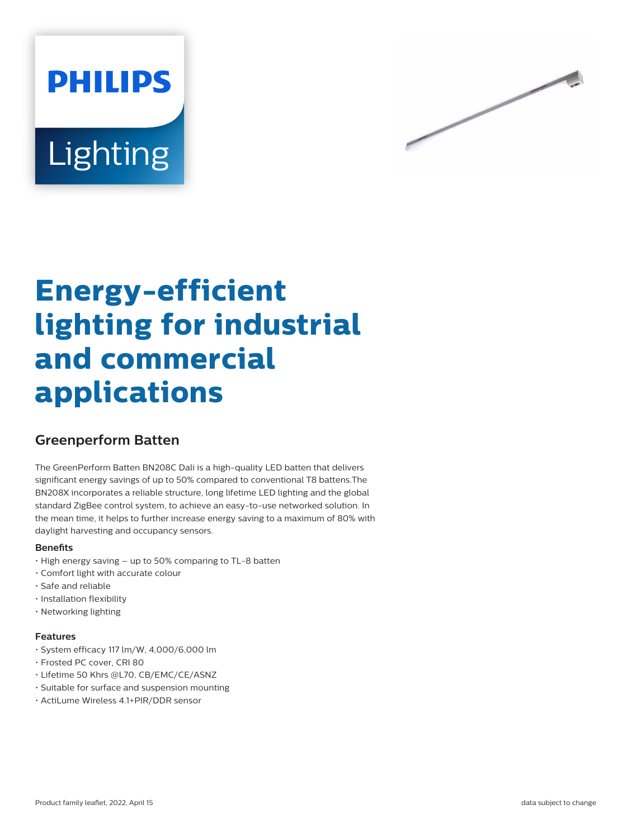# **PHILIPS Lighting**



# **Energy-efficient lighting for industrial and commercial applications**

# **Greenperform Batten**

The GreenPerform Batten BN208C Dali is a high-quality LED batten that delivers significant energy savings of up to 50% compared to conventional T8 battens.The BN208X incorporates a reliable structure, long lifetime LED lighting and the global standard ZigBee control system, to achieve an easy-to-use networked solution. In the mean time, it helps to further increase energy saving to a maximum of 80% with daylight harvesting and occupancy sensors.

#### **Benefits**

- High energy saving up to 50% comparing to TL-8 batten
- Comfort light with accurate colour
- Safe and reliable
- Installation flexibility
- Networking lighting

#### **Features**

- System efficacy 117 lm/W, 4,000/6,000 lm
- Frosted PC cover, CRI 80
- Lifetime 50 Khrs @L70, CB/EMC/CE/ASNZ
- Suitable for surface and suspension mounting
- ActiLume Wireless 4.1+PIR/DDR sensor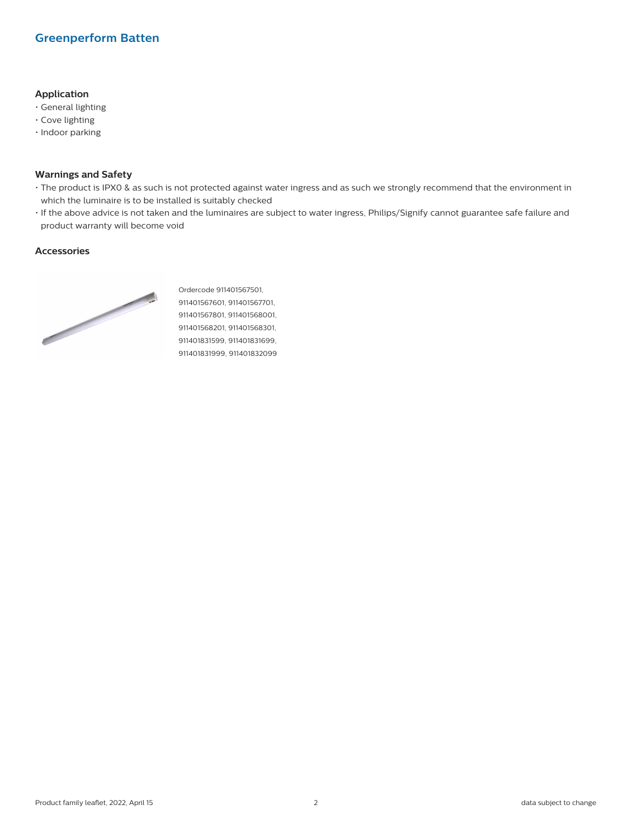### **Greenperform Batten**

#### **Application**

- General lighting
- Cove lighting
- Indoor parking

#### **Warnings and Safety**

- The product is IPX0 & as such is not protected against water ingress and as such we strongly recommend that the environment in which the luminaire is to be installed is suitably checked
- If the above advice is not taken and the luminaires are subject to water ingress, Philips/Signify cannot guarantee safe failure and product warranty will become void

#### **Accessories**



Ordercode 911401567501, 911401567601, 911401567701, 911401567801, 911401568001, 911401568201, 911401568301, 911401831599, 911401831699, 911401831999, 911401832099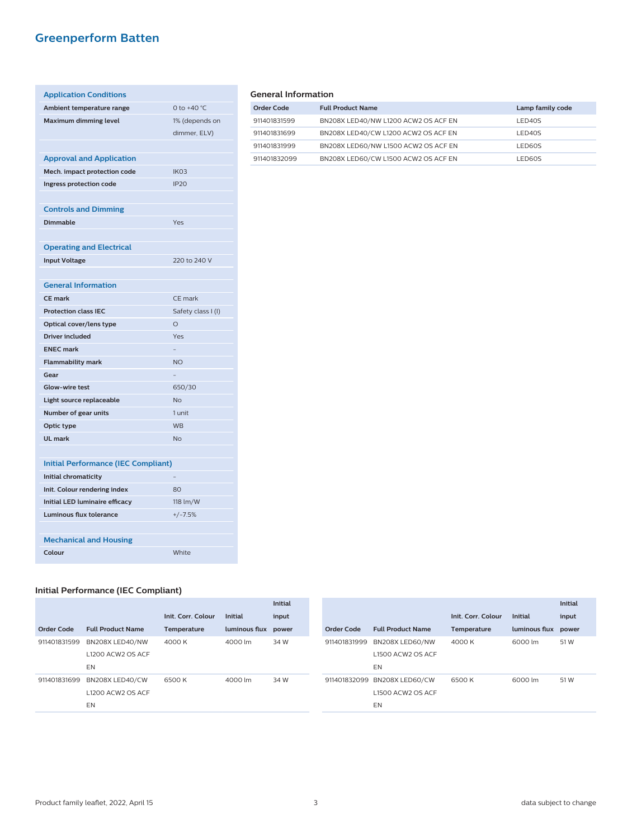## **Greenperform Batten**

| <b>Application Conditions</b>              |                    |
|--------------------------------------------|--------------------|
| Ambient temperature range                  | 0 to +40 $°C$      |
| <b>Maximum dimming level</b>               | 1% (depends on     |
|                                            | dimmer, ELV)       |
|                                            |                    |
| <b>Approval and Application</b>            |                    |
| Mech. impact protection code               | IK <sub>O</sub> 3  |
| Ingress protection code                    | <b>IP20</b>        |
|                                            |                    |
| <b>Controls and Dimming</b>                |                    |
| <b>Dimmable</b>                            | Yes                |
|                                            |                    |
| <b>Operating and Electrical</b>            |                    |
| <b>Input Voltage</b>                       | 220 to 240 V       |
|                                            |                    |
| <b>General Information</b>                 |                    |
| <b>CE mark</b>                             | CE mark            |
| <b>Protection class IEC</b>                | Safety class I (I) |
| Optical cover/lens type                    | $\Omega$           |
| <b>Driver included</b>                     | Yes                |
| <b>ENEC mark</b>                           |                    |
| <b>Flammability mark</b>                   | <b>NO</b>          |
| Gear                                       |                    |
| Glow-wire test                             | 650/30             |
| Light source replaceable                   | <b>No</b>          |
| Number of gear units                       | 1 unit             |
| Optic type                                 | <b>WB</b>          |
| UI mark                                    | <b>No</b>          |
|                                            |                    |
| <b>Initial Performance (IEC Compliant)</b> |                    |
| <b>Initial chromaticity</b>                |                    |
| Init. Colour rendering index               | 80                 |
| <b>Initial LED luminaire efficacy</b>      | 118 lm/W           |
| <b>Luminous flux tolerance</b>             | $+/-7.5%$          |
|                                            |                    |
| <b>Mechanical and Housing</b>              |                    |
| Colour                                     | White              |

#### **General Information**

| Order Code   | <b>Full Product Name</b>             | Lamp family code |  |  |  |
|--------------|--------------------------------------|------------------|--|--|--|
| 911401831599 | BN208X LED40/NW L1200 ACW2 OS ACF EN | LED40S           |  |  |  |
| 911401831699 | BN208X LED40/CW L1200 ACW2 OS ACF EN | LED40S           |  |  |  |
| 911401831999 | BN208X LED60/NW L1500 ACW2 OS ACF EN | LED60S           |  |  |  |
| 911401832099 | BN208X LED60/CW L1500 ACW2 OS ACF EN | LED60S           |  |  |  |

#### **Initial Performance (IEC Compliant)**

|                   |                          | Init. Corr. Colour | <b>Initial</b> | <b>Initial</b><br>input |                   |                              | Init. Corr. Colour | <b>Initial</b> | <b>Initial</b><br>input |
|-------------------|--------------------------|--------------------|----------------|-------------------------|-------------------|------------------------------|--------------------|----------------|-------------------------|
|                   |                          |                    |                |                         |                   |                              |                    |                |                         |
| <b>Order Code</b> | <b>Full Product Name</b> | Temperature        | luminous flux  | power                   | <b>Order Code</b> | <b>Full Product Name</b>     | Temperature        | luminous flux  | power                   |
| 911401831599      | BN208X LED40/NW          | 4000 K             | 4000 lm        | 34 W                    | 911401831999      | BN208X LED60/NW              | 4000 K             | 6000 lm        | 51 W                    |
|                   | L1200 ACW2 OS ACF        |                    |                |                         |                   | L1500 ACW2 OS ACF            |                    |                |                         |
|                   | EN                       |                    |                |                         |                   | EN                           |                    |                |                         |
| 911401831699      | BN208X LED40/CW          | 6500 K             | 4000 lm        | 34 W                    |                   | 911401832099 BN208X LED60/CW | 6500K              | 6000 lm        | 51 W                    |
|                   | L1200 ACW2 OS ACF        |                    |                |                         |                   | L1500 ACW2 OS ACF            |                    |                |                         |
|                   | EN                       |                    |                |                         |                   | EN                           |                    |                |                         |